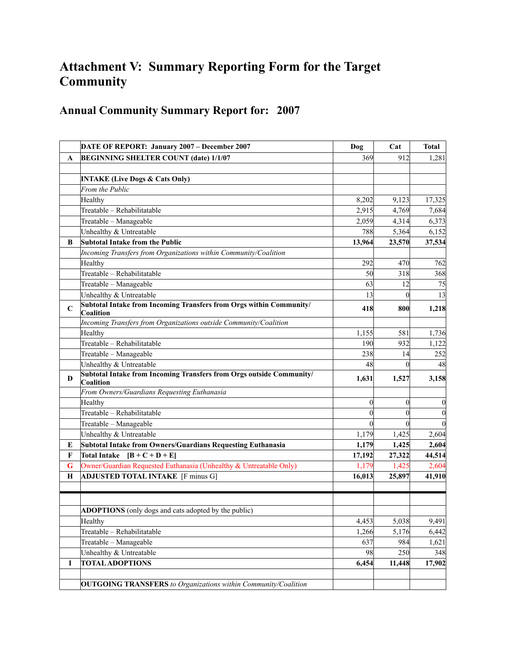## **Attachment V: Summary Reporting Form for the Target Community**

## **Annual Community Summary Report for: 2007**

|              | DATE OF REPORT: January 2007 - December 2007                                      | Dog              | Cat            | <b>Total</b>     |
|--------------|-----------------------------------------------------------------------------------|------------------|----------------|------------------|
| A            | <b>BEGINNING SHELTER COUNT (date) 1/1/07</b>                                      | 369              | 912            | 1,281            |
|              |                                                                                   |                  |                |                  |
|              | <b>INTAKE (Live Dogs &amp; Cats Only)</b>                                         |                  |                |                  |
|              | From the Public                                                                   |                  |                |                  |
|              | Healthy                                                                           | 8,202            | 9,123          | 17,325           |
|              | Treatable - Rehabilitatable                                                       | 2,915            | 4,769          | 7,684            |
|              | Treatable - Manageable                                                            | 2,059            | 4,314          | 6,373            |
|              | Unhealthy & Untreatable                                                           | 788              | 5,364          | 6,152            |
| B            | Subtotal Intake from the Public                                                   | 13,964           | 23,570         | 37,534           |
|              | Incoming Transfers from Organizations within Community/Coalition                  |                  |                |                  |
|              | Healthy                                                                           | 292              | 470            | 762              |
|              | Treatable - Rehabilitatable                                                       | 50               | 318            | 368              |
|              | Treatable - Manageable                                                            | 63               | 12             | 75               |
|              | Unhealthy & Untreatable                                                           | 13               | $\theta$       | 13               |
| C            | Subtotal Intake from Incoming Transfers from Orgs within Community/<br>Coalition  | 418              | 800            | 1,218            |
|              | Incoming Transfers from Organizations outside Community/Coalition                 |                  |                |                  |
|              | Healthy                                                                           | 1,155            | 581            | 1,736            |
|              | Treatable - Rehabilitatable                                                       | 190              | 932            | 1,122            |
|              | Treatable - Manageable                                                            | 238              | 14             | 252              |
|              | Unhealthy & Untreatable                                                           | 48               | $\theta$       | 48               |
| D            | Subtotal Intake from Incoming Transfers from Orgs outside Community/<br>Coalition | 1,631            | 1,527          | 3,158            |
|              | From Owners/Guardians Requesting Euthanasia                                       |                  |                |                  |
|              | Healthy                                                                           | $\boldsymbol{0}$ | $\overline{0}$ | $\boldsymbol{0}$ |
|              | Treatable - Rehabilitatable                                                       | $\boldsymbol{0}$ | $\theta$       | $\boldsymbol{0}$ |
|              | Treatable - Manageable                                                            | $\theta$         | $\theta$       | $\mathbf{0}$     |
|              | Unhealthy & Untreatable                                                           | 1,179            | 1,425          | 2,604            |
| E            | Subtotal Intake from Owners/Guardians Requesting Euthanasia                       | 1,179            | 1,425          | 2,604            |
| $\mathbf{F}$ | Total Intake $[B + C + D + E]$                                                    | 17,192           | 27,322         | 44,514           |
| G            | Owner/Guardian Requested Euthanasia (Unhealthy & Untreatable Only)                | 1,179            | 1,425          | 2,604            |
| Н            | <b>ADJUSTED TOTAL INTAKE</b> [F minus G]                                          | 16,013           | 25,897         | 41,910           |
|              |                                                                                   |                  |                |                  |
|              | ADOPTIONS (only dogs and cats adopted by the public)                              |                  |                |                  |
|              | Healthy                                                                           | 4,453            | 5,038          | 9,491            |
|              | Treatable - Rehabilitatable                                                       | 1,266            | 5,176          | 6,442            |
|              | Treatable - Manageable                                                            | 637              | 984            | 1,621            |
|              | Unhealthy & Untreatable                                                           | 98               | 250            | 348              |
| I            | <b>TOTAL ADOPTIONS</b>                                                            | 6,454            | 11,448         | 17,902           |
|              | <b>OUTGOING TRANSFERS</b> to Organizations within Community/Coalition             |                  |                |                  |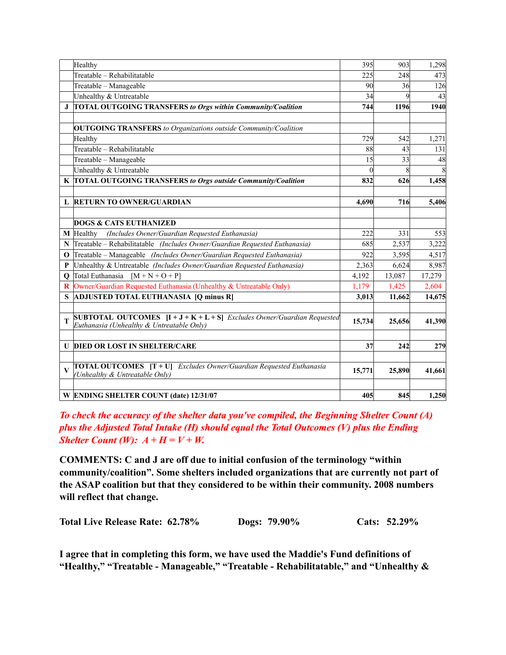|                         | Healthy                                                                                                                              | 395      | 903    | 1,298  |
|-------------------------|--------------------------------------------------------------------------------------------------------------------------------------|----------|--------|--------|
|                         | Treatable - Rehabilitatable                                                                                                          | 225      | 248    | 473    |
|                         | Treatable - Manageable                                                                                                               | 90       | 36     | 126    |
|                         | Unhealthy & Untreatable                                                                                                              | 34       | 9      | 43     |
| J.                      | <b>TOTAL OUTGOING TRANSFERS to Orgs within Community/Coalition</b>                                                                   | 744      | 1196   | 1940   |
|                         | <b>OUTGOING TRANSFERS</b> to Organizations outside Community/Coalition                                                               |          |        |        |
|                         | Healthy                                                                                                                              | 729      | 542    | 1,271  |
|                         | Treatable - Rehabilitatable                                                                                                          | 88       | 43     | 131    |
|                         | Treatable - Manageable                                                                                                               | 15       | 33     | 48     |
|                         | Unhealthy & Untreatable                                                                                                              | $\Omega$ | 8      | 8      |
|                         | K TOTAL OUTGOING TRANSFERS to Orgs outside Community/Coalition                                                                       | 832      | 626    | 1,458  |
|                         |                                                                                                                                      |          |        |        |
|                         | L RETURN TO OWNER/GUARDIAN                                                                                                           | 4.690    | 716    | 5,406  |
|                         | <b>DOGS &amp; CATS EUTHANIZED</b>                                                                                                    |          |        |        |
|                         |                                                                                                                                      | 222      |        |        |
| М                       | Healthy<br>(Includes Owner/Guardian Requested Euthanasia)                                                                            |          | 331    | 553    |
| N                       | Treatable – Rehabilitatable (Includes Owner/Guardian Requested Euthanasia)                                                           | 685      | 2,537  | 3,222  |
| O                       | Treatable - Manageable (Includes Owner/Guardian Requested Euthanasia)                                                                | 922      | 3,595  | 4,517  |
| P                       | Unhealthy & Untreatable (Includes Owner/Guardian Requested Euthanasia)                                                               | 2,363    | 6,624  | 8,987  |
| $\mathbf 0$             | Total Euthanasia $[M + N + O + P]$                                                                                                   | 4,192    | 13,087 | 17,279 |
| $\bf{R}$                | Owner/Guardian Requested Euthanasia (Unhealthy & Untreatable Only)                                                                   | 1,179    | 1,425  | 2,604  |
| S                       | <b>ADJUSTED TOTAL EUTHANASIA [Q minus R]</b>                                                                                         | 3,013    | 11,662 | 14,675 |
| T                       | <b>SUBTOTAL OUTCOMES</b> $[I + J + K + L + S]$ <i>Excludes Owner/Guardian Requested</i><br>Euthanasia (Unhealthy & Untreatable Only) | 15,734   | 25,656 | 41,390 |
| U                       | <b>DIED OR LOST IN SHELTER/CARE</b>                                                                                                  | 37       | 242    | 279    |
| $\overline{\mathbf{V}}$ | <b>TOTAL OUTCOMES</b> $[T+U]$ <i>Excludes Owner/Guardian Requested Euthanasia</i><br>(Unhealthy & Untreatable Only)                  | 15,771   | 25,890 | 41,661 |
|                         | W ENDING SHELTER COUNT (date) 12/31/07                                                                                               | 405      | 845    | 1,250  |

*To check the accuracy of the shelter data you've compiled, the Beginning Shelter Count (A) plus the Adjusted Total Intake (H) should equal the Total Outcomes (V) plus the Ending Shelter Count (W):*  $A + H = V + W$ .

**COMMENTS: C and J are off due to initial confusion of the terminology "within community/coalition". Some shelters included organizations that are currently not part of the ASAP coalition but that they considered to be within their community. 2008 numbers will reflect that change.**

**Total Live Release Rate: 62.78% Dogs: 79.90% Cats: 52.29%**

**I agree that in completing this form, we have used the Maddie's Fund definitions of "Healthy," "Treatable - Manageable," "Treatable - Rehabilitatable," and "Unhealthy &**